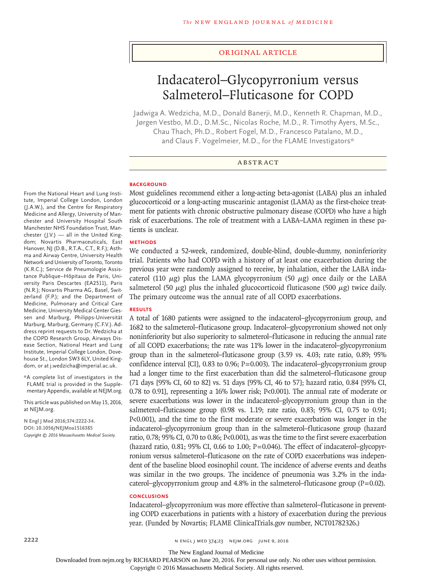## Original Article

# Indacaterol–Glycopyrronium versus Salmeterol–Fluticasone for COPD

Jadwiga A. Wedzicha, M.D., Donald Banerji, M.D., Kenneth R. Chapman, M.D., Jørgen Vestbo, M.D., D.M.Sc., Nicolas Roche, M.D., R. Timothy Ayers, M.Sc., Chau Thach, Ph.D., Robert Fogel, M.D., Francesco Patalano, M.D., and Claus F. Vogelmeier, M.D., for the FLAME Investigators\*

## ABSTRACT

## **BACKGROUND**

From the National Heart and Lung Institute, Imperial College London, London (J.A.W.), and the Centre for Respiratory Medicine and Allergy, University of Manchester and University Hospital South Manchester NHS Foundation Trust, Manchester (J.V.) — all in the United Kingdom; Novartis Pharmaceuticals, East Hanover, NJ (D.B., R.T.A., C.T., R.F.); Asthma and Airway Centre, University Health Network and University of Toronto, Toronto (K.R.C.); Service de Pneumologie Assistance Publique–Hôpitaux de Paris, University Paris Descartes (EA2511), Paris (N.R.); Novartis Pharma AG, Basel, Switzerland (F.P.); and the Department of Medicine, Pulmonary and Critical Care Medicine, University Medical Center Giessen and Marburg, Philipps-Universität Marburg, Marburg, Germany (C.F.V.). Address reprint requests to Dr. Wedzicha at the COPD Research Group, Airways Disease Section, National Heart and Lung Institute, Imperial College London, Dovehouse St., London SW3 6LY, United Kingdom, or at j.wedzicha@imperial.ac.uk.

\*A complete list of investigators in the FLAME trial is provided in the Supplementary Appendix, available at NEJM.org.

This article was published on May 15, 2016, at NEJM.org.

**N Engl J Med 2016;374:2222-34. DOI: 10.1056/NEJMoa1516385** *Copyright © 2016 Massachusetts Medical Society.* Most guidelines recommend either a long-acting beta-agonist (LABA) plus an inhaled glucocorticoid or a long-acting muscarinic antagonist (LAMA) as the first-choice treatment for patients with chronic obstructive pulmonary disease (COPD) who have a high risk of exacerbations. The role of treatment with a LABA–LAMA regimen in these patients is unclear.

## **METHODS**

We conducted a 52-week, randomized, double-blind, double-dummy, noninferiority trial. Patients who had COPD with a history of at least one exacerbation during the previous year were randomly assigned to receive, by inhalation, either the LABA indacaterol (110  $\mu$ g) plus the LAMA glycopyrronium (50  $\mu$ g) once daily or the LABA salmeterol (50  $\mu$ g) plus the inhaled glucocorticoid fluticasone (500  $\mu$ g) twice daily. The primary outcome was the annual rate of all COPD exacerbations.

#### **RESULTS**

A total of 1680 patients were assigned to the indacaterol–glycopyrronium group, and 1682 to the salmeterol–fluticasone group. Indacaterol–glycopyrronium showed not only noninferiority but also superiority to salmeterol–fluticasone in reducing the annual rate of all COPD exacerbations; the rate was 11% lower in the indacaterol–glycopyrronium group than in the salmeterol–fluticasone group (3.59 vs. 4.03; rate ratio, 0.89; 95% confidence interval [CI], 0.83 to 0.96; P=0.003). The indacaterol–glycopyrronium group had a longer time to the first exacerbation than did the salmeterol–fluticasone group (71 days [95% CI, 60 to 82] vs. 51 days [95% CI, 46 to 57]; hazard ratio, 0.84 [95% CI, 0.78 to 0.91], representing a 16% lower risk; P<0.001). The annual rate of moderate or severe exacerbations was lower in the indacaterol–glycopyrronium group than in the salmeterol–fluticasone group (0.98 vs. 1.19; rate ratio, 0.83; 95% CI, 0.75 to 0.91; P<0.001), and the time to the first moderate or severe exacerbation was longer in the indacaterol–glycopyrronium group than in the salmeterol–fluticasone group (hazard ratio, 0.78; 95% CI, 0.70 to 0.86; P<0.001), as was the time to the first severe exacerbation (hazard ratio, 0.81; 95% CI, 0.66 to 1.00;  $P=0.046$ ). The effect of indacaterol–glycopyrronium versus salmeterol–fluticasone on the rate of COPD exacerbations was independent of the baseline blood eosinophil count. The incidence of adverse events and deaths was similar in the two groups. The incidence of pneumonia was 3.2% in the indacaterol–glycopyrronium group and 4.8% in the salmeterol–fluticasone group  $(P=0.02)$ .

## **CONCLUSIONS**

Indacaterol–glycopyrronium was more effective than salmeterol–fluticasone in preventing COPD exacerbations in patients with a history of exacerbation during the previous year. (Funded by Novartis; FLAME ClinicalTrials.gov number, NCT01782326.)

2222 **n engl j med 374;23** n engl j med 374;23 n ejm.org JUNE 9, 2016

The New England Journal of Medicine

Downloaded from nejm.org by RICHARD PEARSON on June 20, 2016. For personal use only. No other uses without permission.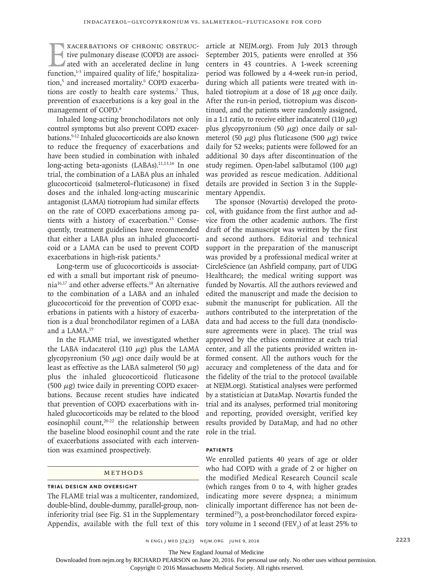XACERBATIONS OF CHRONIC OBSTRUCTIVE THE UNION ARE SERVED THE USE OF A LIBRARY STRUCTURE IS also died with an accelerated decline in lung function.<sup>1-3</sup> impaired quality of life.<sup>4</sup> hospitalizative pulmonary disease (COPD) are associated with an accelerated decline in lung function, $1-3$  impaired quality of life, $4$  hospitalization,<sup>5</sup> and increased mortality.<sup>6</sup> COPD exacerbations are costly to health care systems.7 Thus, prevention of exacerbations is a key goal in the management of COPD.<sup>8</sup>

Inhaled long-acting bronchodilators not only control symptoms but also prevent COPD exacerbations.9-12 Inhaled glucocorticoids are also known to reduce the frequency of exacerbations and have been studied in combination with inhaled long-acting beta-agonists (LABAs).<sup>11,13,14</sup> In one trial, the combination of a LABA plus an inhaled glucocorticoid (salmeterol–fluticasone) in fixed doses and the inhaled long-acting muscarinic antagonist (LAMA) tiotropium had similar effects on the rate of COPD exacerbations among patients with a history of exacerbation.15 Consequently, treatment guidelines have recommended that either a LABA plus an inhaled glucocorticoid or a LAMA can be used to prevent COPD exacerbations in high-risk patients.<sup>8</sup>

Long-term use of glucocorticoids is associated with a small but important risk of pneumonia16,17 and other adverse effects.18 An alternative to the combination of a LABA and an inhaled glucocorticoid for the prevention of COPD exacerbations in patients with a history of exacerbation is a dual bronchodilator regimen of a LABA and a LAMA.19

In the FLAME trial, we investigated whether the LABA indacaterol (110  $\mu$ g) plus the LAMA glycopyrronium (50  $\mu$ g) once daily would be at least as effective as the LABA salmeterol (50  $\mu$ g) plus the inhaled glucocorticoid fluticasone (500  $\mu$ g) twice daily in preventing COPD exacerbations. Because recent studies have indicated that prevention of COPD exacerbations with inhaled glucocorticoids may be related to the blood eosinophil count,<sup>20-22</sup> the relationship between the baseline blood eosinophil count and the rate of exacerbations associated with each intervention was examined prospectively.

# Methods

## **Trial Design and Oversight**

The FLAME trial was a multicenter, randomized, double-blind, double-dummy, parallel-group, noninferiority trial (see Fig. S1 in the Supplementary Appendix, available with the full text of this article at NEJM.org). From July 2013 through September 2015, patients were enrolled at 356 centers in 43 countries. A 1-week screening period was followed by a 4-week run-in period, during which all patients were treated with inhaled tiotropium at a dose of 18  $\mu$ g once daily. After the run-in period, tiotropium was discontinued, and the patients were randomly assigned, in a 1:1 ratio, to receive either indacaterol (110  $\mu$ g) plus glycopyrronium (50  $\mu$ g) once daily or salmeterol (50  $\mu$ g) plus fluticasone (500  $\mu$ g) twice daily for 52 weeks; patients were followed for an additional 30 days after discontinuation of the study regimen. Open-label salbutamol (100  $\mu$ g) was provided as rescue medication. Additional details are provided in Section 3 in the Supplementary Appendix.

The sponsor (Novartis) developed the protocol, with guidance from the first author and advice from the other academic authors. The first draft of the manuscript was written by the first and second authors. Editorial and technical support in the preparation of the manuscript was provided by a professional medical writer at CircleScience (an Ashfield company, part of UDG Healthcare); the medical writing support was funded by Novartis. All the authors reviewed and edited the manuscript and made the decision to submit the manuscript for publication. All the authors contributed to the interpretation of the data and had access to the full data (nondisclosure agreements were in place). The trial was approved by the ethics committee at each trial center, and all the patients provided written informed consent. All the authors vouch for the accuracy and completeness of the data and for the fidelity of the trial to the protocol (available at NEJM.org). Statistical analyses were performed by a statistician at DataMap. Novartis funded the trial and its analyses, performed trial monitoring and reporting, provided oversight, verified key results provided by DataMap, and had no other role in the trial.

### **Patients**

We enrolled patients 40 years of age or older who had COPD with a grade of 2 or higher on the modified Medical Research Council scale (which ranges from 0 to 4, with higher grades indicating more severe dyspnea; a minimum clinically important difference has not been determined<sup>23</sup>), a post-bronchodilator forced expiratory volume in 1 second  $(FEV<sub>1</sub>)$  of at least 25% to

The New England Journal of Medicine

Downloaded from nejm.org by RICHARD PEARSON on June 20, 2016. For personal use only. No other uses without permission.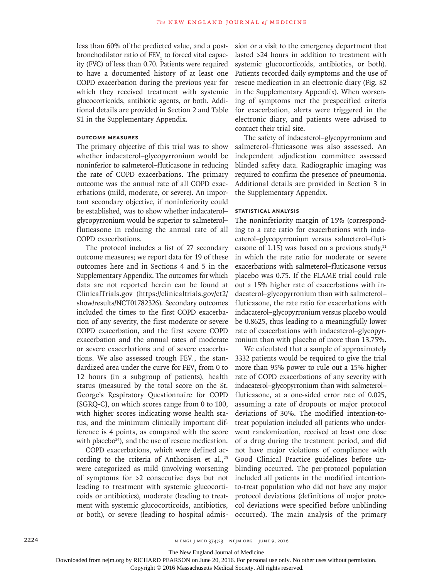less than 60% of the predicted value, and a postbronchodilator ratio of FEV<sub>1</sub> to forced vital capacity (FVC) of less than 0.70. Patients were required to have a documented history of at least one COPD exacerbation during the previous year for which they received treatment with systemic glucocorticoids, antibiotic agents, or both. Additional details are provided in Section 2 and Table S1 in the Supplementary Appendix.

## **Outcome Measures**

The primary objective of this trial was to show whether indacaterol–glycopyrronium would be noninferior to salmeterol–fluticasone in reducing the rate of COPD exacerbations. The primary outcome was the annual rate of all COPD exacerbations (mild, moderate, or severe). An important secondary objective, if noninferiority could be established, was to show whether indacaterol– glycopyrronium would be superior to salmeterol– fluticasone in reducing the annual rate of all COPD exacerbations.

The protocol includes a list of 27 secondary outcome measures; we report data for 19 of these outcomes here and in Sections 4 and 5 in the Supplementary Appendix. The outcomes for which data are not reported herein can be found at ClinicalTrials.gov (https://clinicaltrials.gov/ct2/ show/results/NCT01782326). Secondary outcomes included the times to the first COPD exacerbation of any severity, the first moderate or severe COPD exacerbation, and the first severe COPD exacerbation and the annual rates of moderate or severe exacerbations and of severe exacerbations. We also assessed trough  $FEV_1$ , the standardized area under the curve for  $\mathop{\rm FEV}\nolimits_1$  from 0 to 12 hours (in a subgroup of patients), health status (measured by the total score on the St. George's Respiratory Questionnaire for COPD [SGRQ-C], on which scores range from 0 to 100, with higher scores indicating worse health status, and the minimum clinically important difference is 4 points, as compared with the score with placebo $24$ ), and the use of rescue medication.

COPD exacerbations, which were defined according to the criteria of Anthonisen et al., $25$ were categorized as mild (involving worsening of symptoms for >2 consecutive days but not leading to treatment with systemic glucocorticoids or antibiotics), moderate (leading to treatment with systemic glucocorticoids, antibiotics, or both), or severe (leading to hospital admission or a visit to the emergency department that lasted >24 hours in addition to treatment with systemic glucocorticoids, antibiotics, or both). Patients recorded daily symptoms and the use of rescue medication in an electronic diary (Fig. S2 in the Supplementary Appendix). When worsening of symptoms met the prespecified criteria for exacerbation, alerts were triggered in the electronic diary, and patients were advised to contact their trial site.

The safety of indacaterol–glycopyrronium and salmeterol–fluticasone was also assessed. An independent adjudication committee assessed blinded safety data. Radiographic imaging was required to confirm the presence of pneumonia. Additional details are provided in Section 3 in the Supplementary Appendix.

## **Statistical Analysis**

The noninferiority margin of 15% (corresponding to a rate ratio for exacerbations with indacaterol–glycopyrronium versus salmeterol–fluticasone of 1.15) was based on a previous study, $11$ in which the rate ratio for moderate or severe exacerbations with salmeterol–fluticasone versus placebo was 0.75. If the FLAME trial could rule out a 15% higher rate of exacerbations with indacaterol–glycopyrronium than with salmeterol– fluticasone, the rate ratio for exacerbations with indacaterol–glycopyrronium versus placebo would be 0.8625, thus leading to a meaningfully lower rate of exacerbations with indacaterol–glycopyrronium than with placebo of more than 13.75%.

We calculated that a sample of approximately 3332 patients would be required to give the trial more than 95% power to rule out a 15% higher rate of COPD exacerbations of any severity with indacaterol–glycopyrronium than with salmeterol– fluticasone, at a one-sided error rate of 0.025, assuming a rate of dropouts or major protocol deviations of 30%. The modified intention-totreat population included all patients who underwent randomization, received at least one dose of a drug during the treatment period, and did not have major violations of compliance with Good Clinical Practice guidelines before unblinding occurred. The per-protocol population included all patients in the modified intentionto-treat population who did not have any major protocol deviations (definitions of major protocol deviations were specified before unblinding occurred). The main analysis of the primary

The New England Journal of Medicine

Downloaded from nejm.org by RICHARD PEARSON on June 20, 2016. For personal use only. No other uses without permission.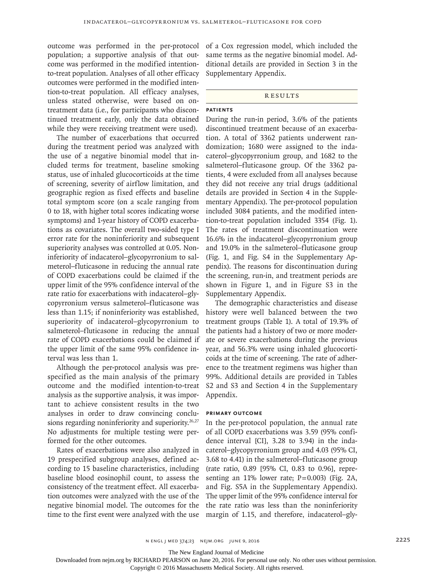outcome was performed in the per-protocol population; a supportive analysis of that outcome was performed in the modified intentionto-treat population. Analyses of all other efficacy outcomes were performed in the modified intention-to-treat population. All efficacy analyses, unless stated otherwise, were based on ontreatment data (i.e., for participants who discontinued treatment early, only the data obtained while they were receiving treatment were used).

The number of exacerbations that occurred during the treatment period was analyzed with the use of a negative binomial model that included terms for treatment, baseline smoking status, use of inhaled glucocorticoids at the time of screening, severity of airflow limitation, and geographic region as fixed effects and baseline total symptom score (on a scale ranging from 0 to 18, with higher total scores indicating worse symptoms) and 1-year history of COPD exacerbations as covariates. The overall two-sided type I error rate for the noninferiority and subsequent superiority analyses was controlled at 0.05. Noninferiority of indacaterol–glycopyrronium to salmeterol–fluticasone in reducing the annual rate of COPD exacerbations could be claimed if the upper limit of the 95% confidence interval of the rate ratio for exacerbations with indacaterol–glycopyrronium versus salmeterol–fluticasone was less than 1.15; if noninferiority was established, superiority of indacaterol–glycopyrronium to salmeterol–fluticasone in reducing the annual rate of COPD exacerbations could be claimed if the upper limit of the same 95% confidence interval was less than 1.

Although the per-protocol analysis was prespecified as the main analysis of the primary outcome and the modified intention-to-treat analysis as the supportive analysis, it was important to achieve consistent results in the two analyses in order to draw convincing conclusions regarding noninferiority and superiority.<sup>26,27</sup> No adjustments for multiple testing were performed for the other outcomes.

Rates of exacerbations were also analyzed in 19 prespecified subgroup analyses, defined according to 15 baseline characteristics, including baseline blood eosinophil count, to assess the consistency of the treatment effect. All exacerbation outcomes were analyzed with the use of the negative binomial model. The outcomes for the time to the first event were analyzed with the use of a Cox regression model, which included the same terms as the negative binomial model. Additional details are provided in Section 3 in the Supplementary Appendix.

#### **RESULTS**

# **Patients**

During the run-in period, 3.6% of the patients discontinued treatment because of an exacerbation. A total of 3362 patients underwent randomization; 1680 were assigned to the indacaterol–glycopyrronium group, and 1682 to the salmeterol–fluticasone group. Of the 3362 patients, 4 were excluded from all analyses because they did not receive any trial drugs (additional details are provided in Section 4 in the Supplementary Appendix). The per-protocol population included 3084 patients, and the modified intention-to-treat population included 3354 (Fig. 1). The rates of treatment discontinuation were 16.6% in the indacaterol–glycopyrronium group and 19.0% in the salmeterol–fluticasone group (Fig. 1, and Fig. S4 in the Supplementary Appendix). The reasons for discontinuation during the screening, run-in, and treatment periods are shown in Figure 1, and in Figure S3 in the Supplementary Appendix.

The demographic characteristics and disease history were well balanced between the two treatment groups (Table 1). A total of 19.3% of the patients had a history of two or more moderate or severe exacerbations during the previous year, and 56.3% were using inhaled glucocorticoids at the time of screening. The rate of adherence to the treatment regimens was higher than 99%. Additional details are provided in Tables S2 and S3 and Section 4 in the Supplementary Appendix.

## **Primary Outcome**

In the per-protocol population, the annual rate of all COPD exacerbations was 3.59 (95% confidence interval [CI], 3.28 to 3.94) in the indacaterol–glycopyrronium group and 4.03 (95% CI, 3.68 to 4.41) in the salmeterol–fluticasone group (rate ratio, 0.89 [95% CI, 0.83 to 0.96], representing an 11% lower rate; P=0.003) (Fig. 2A, and Fig. S5A in the Supplementary Appendix). The upper limit of the 95% confidence interval for the rate ratio was less than the noninferiority margin of 1.15, and therefore, indacaterol–gly-

The New England Journal of Medicine

Downloaded from nejm.org by RICHARD PEARSON on June 20, 2016. For personal use only. No other uses without permission.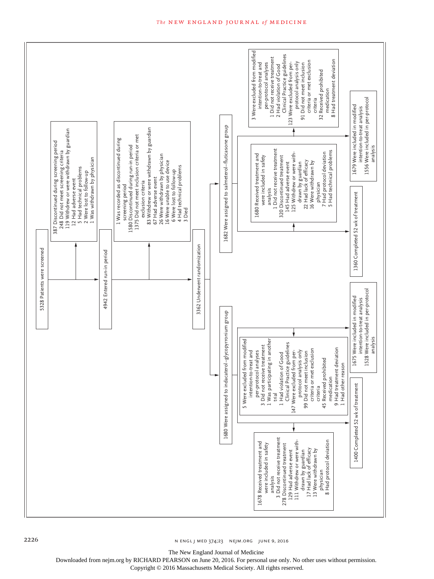

2226 **n ENGL J MED 374;23** NEJM.ORG JUNE 9, 2016

The New England Journal of Medicine

Downloaded from nejm.org by RICHARD PEARSON on June 20, 2016. For personal use only. No other uses without permission.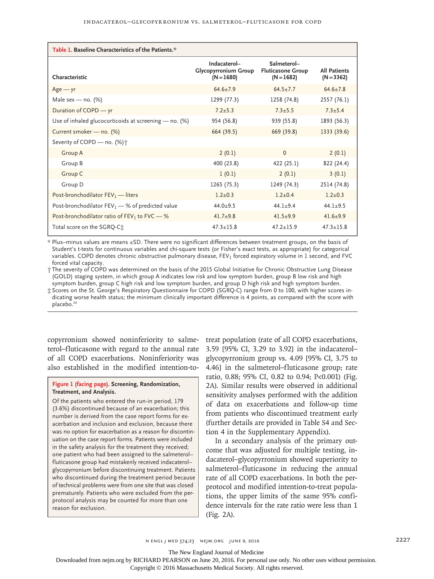| Table 1. Baseline Characteristics of the Patients.*     |                                                             |                                                         |                                     |  |  |  |  |
|---------------------------------------------------------|-------------------------------------------------------------|---------------------------------------------------------|-------------------------------------|--|--|--|--|
| Characteristic                                          | Indacaterol-<br><b>Glycopyrronium Group</b><br>$(N = 1680)$ | Salmeterol-<br><b>Fluticasone Group</b><br>$(N = 1682)$ | <b>All Patients</b><br>$(N = 3362)$ |  |  |  |  |
| $Age - yr$                                              | $64.6 \pm 7.9$                                              | $64.5 + 7.7$                                            | $64.6 \pm 7.8$                      |  |  |  |  |
| Male sex — no. $(\%)$                                   | 1299 (77.3)                                                 | 1258 (74.8)                                             | 2557 (76.1)                         |  |  |  |  |
| Duration of COPD - yr                                   | $7.2 + 5.3$                                                 | $7.3 + 5.5$                                             | $7.3 + 5.4$                         |  |  |  |  |
| Use of inhaled glucocorticoids at screening $-$ no. (%) | 954 (56.8)                                                  | 939 (55.8)                                              | 1893 (56.3)                         |  |  |  |  |
| Current smoker - no. (%)                                | 664 (39.5)                                                  | 669 (39.8)                                              | 1333 (39.6)                         |  |  |  |  |
| Severity of COPD - no. (%) <sup>+</sup>                 |                                                             |                                                         |                                     |  |  |  |  |
| Group A                                                 | 2(0.1)                                                      | $\Omega$                                                | 2(0.1)                              |  |  |  |  |
| Group B                                                 | 400 (23.8)                                                  | 422 (25.1)                                              | 822 (24.4)                          |  |  |  |  |
| Group C                                                 | 1(0.1)                                                      | 2(0.1)                                                  | 3(0.1)                              |  |  |  |  |
| Group D                                                 | 1265 (75.3)                                                 | 1249 (74.3)                                             | 2514 (74.8)                         |  |  |  |  |
| Post-bronchodilator $FEV_1$ - liters                    | $1.2 + 0.3$                                                 | $1.2 + 0.4$                                             | $1.2 + 0.3$                         |  |  |  |  |
| Post-bronchodilator $FEV_1$ – % of predicted value      | $44.0 + 9.5$                                                | $44.1 + 9.4$                                            | $44.1 \pm 9.5$                      |  |  |  |  |
| Post-bronchodilator ratio of $FEV_1$ to $FVC-%$         | $41.7 + 9.8$                                                | $41.5 + 9.9$                                            | $41.6 \pm 9.9$                      |  |  |  |  |
| Total score on the SGRQ-C <sup>+</sup>                  | $47.3 \pm 15.8$                                             | $47.2 + 15.9$                                           | $47.3 \pm 15.8$                     |  |  |  |  |

\* Plus–minus values are means ±SD. There were no significant differences between treatment groups, on the basis of Student's t-tests for continuous variables and chi-square tests (or Fisher's exact tests, as appropriate) for categorical variables. COPD denotes chronic obstructive pulmonary disease, FEV<sub>1</sub> forced expiratory volume in 1 second, and FVC forced vital capacity.

† The severity of COPD was determined on the basis of the 2015 Global Initiative for Chronic Obstructive Lung Disease (GOLD) staging system, in which group A indicates low risk and low symptom burden, group B low risk and high symptom burden, group C high risk and low symptom burden, and group D high risk and high symptom burden.

‡ Scores on the St. George's Respiratory Questionnaire for COPD (SGRQ-C) range from 0 to 100, with higher scores indicating worse health status; the minimum clinically important difference is 4 points, as compared with the score with placebo.<sup>24</sup>

copyrronium showed noninferiority to salmeterol–fluticasone with regard to the annual rate of all COPD exacerbations. Noninferiority was also established in the modified intention-to-

## **Figure 1 (facing page). Screening, Randomization, Treatment, and Analysis.**

Of the patients who entered the run-in period, 179 (3.6%) discontinued because of an exacerbation; this number is derived from the case report forms for exacerbation and inclusion and exclusion, because there was no option for exacerbation as a reason for discontinuation on the case report forms. Patients were included in the safety analysis for the treatment they received; one patient who had been assigned to the salmeterol– fluticasone group had mistakenly received indacaterol– glycopyrronium before discontinuing treatment. Patients who discontinued during the treatment period because of technical problems were from one site that was closed prematurely. Patients who were excluded from the perprotocol analysis may be counted for more than one reason for exclusion.

treat population (rate of all COPD exacerbations, 3.59 [95% CI, 3.29 to 3.92] in the indacaterol– glycopyrronium group vs. 4.09 [95% CI, 3.75 to 4.46] in the salmeterol–fluticasone group; rate ratio, 0.88; 95% CI, 0.82 to 0.94; P<0.001) (Fig. 2A). Similar results were observed in additional sensitivity analyses performed with the addition of data on exacerbations and follow-up time from patients who discontinued treatment early (further details are provided in Table S4 and Section 4 in the Supplementary Appendix).

In a secondary analysis of the primary outcome that was adjusted for multiple testing, indacaterol–glycopyrronium showed superiority to salmeterol–fluticasone in reducing the annual rate of all COPD exacerbations. In both the perprotocol and modified intention-to-treat populations, the upper limits of the same 95% confidence intervals for the rate ratio were less than 1 (Fig. 2A).

The New England Journal of Medicine

Downloaded from nejm.org by RICHARD PEARSON on June 20, 2016. For personal use only. No other uses without permission.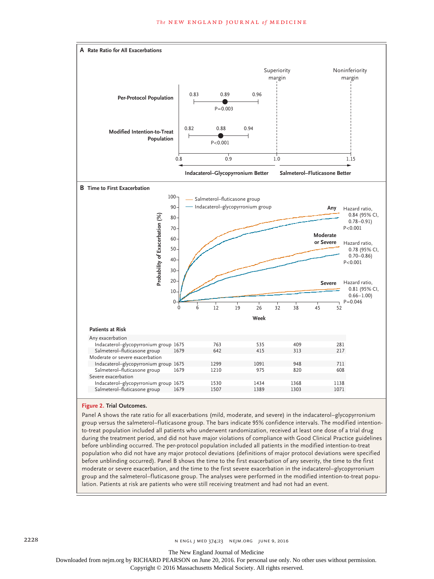

## **Figure 2. Trial Outcomes.**

Panel A shows the rate ratio for all exacerbations (mild, moderate, and severe) in the indacaterol–glycopyrronium group versus the salmeterol–fluticasone group. The bars indicate 95% confidence intervals. The modified intentionto-treat population included all patients who underwent randomization, received at least one dose of a trial drug during the treatment period, and did not have major violations of compliance with Good Clinical Practice guidelines before unblinding occurred. The per-protocol population included all patients in the modified intention-to-treat population who did not have any major protocol deviations (definitions of major protocol deviations were specified before unblinding occurred). Panel B shows the time to the first exacerbation of any severity, the time to the first moderate or severe exacerbation, and the time to the first severe exacerbation in the indacaterol–glycopyrronium group and the salmeterol–fluticasone group. The analyses were performed in the modified intention-to-treat population. Patients at risk are patients who were still receiving treatment and had not had an event.

The New England Journal of Medicine

Downloaded from nejm.org by RICHARD PEARSON on June 20, 2016. For personal use only. No other uses without permission.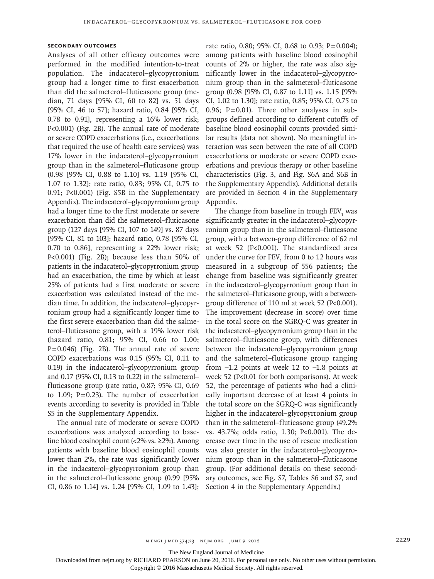## **Secondary Outcomes**

Analyses of all other efficacy outcomes were performed in the modified intention-to-treat population. The indacaterol–glycopyrronium group had a longer time to first exacerbation than did the salmeterol–fluticasone group (median, 71 days [95% CI, 60 to 82] vs. 51 days [95% CI, 46 to 57]; hazard ratio, 0.84 [95% CI, 0.78 to 0.91], representing a 16% lower risk; P<0.001) (Fig. 2B). The annual rate of moderate or severe COPD exacerbations (i.e., exacerbations that required the use of health care services) was 17% lower in the indacaterol–glycopyrronium group than in the salmeterol–fluticasone group (0.98 [95% CI, 0.88 to 1.10] vs. 1.19 [95% CI, 1.07 to 1.32]; rate ratio, 0.83; 95% CI, 0.75 to 0.91; P<0.001) (Fig. S5B in the Supplementary Appendix). The indacaterol–glycopyrronium group had a longer time to the first moderate or severe exacerbation than did the salmeterol–fluticasone group (127 days [95% CI, 107 to 149] vs. 87 days [95% CI, 81 to 103]; hazard ratio, 0.78 [95% CI, 0.70 to 0.86], representing a 22% lower risk; P<0.001) (Fig. 2B); because less than 50% of patients in the indacaterol–glycopyrronium group had an exacerbation, the time by which at least 25% of patients had a first moderate or severe exacerbation was calculated instead of the median time. In addition, the indacaterol–glycopyrronium group had a significantly longer time to the first severe exacerbation than did the salmeterol–fluticasone group, with a 19% lower risk (hazard ratio, 0.81; 95% CI, 0.66 to 1.00;  $P=0.046$ ) (Fig. 2B). The annual rate of severe COPD exacerbations was 0.15 (95% CI, 0.11 to 0.19) in the indacaterol–glycopyrronium group and 0.17 (95% CI, 0.13 to 0.22) in the salmeterol– fluticasone group (rate ratio, 0.87; 95% CI, 0.69 to 1.09; P=0.23). The number of exacerbation events according to severity is provided in Table S5 in the Supplementary Appendix.

The annual rate of moderate or severe COPD exacerbations was analyzed according to baseline blood eosinophil count (<2% vs. ≥2%). Among patients with baseline blood eosinophil counts lower than 2%, the rate was significantly lower in the indacaterol–glycopyrronium group than in the salmeterol–fluticasone group (0.99 [95% CI, 0.86 to 1.14] vs. 1.24 [95% CI, 1.09 to 1.43]; Section 4 in the Supplementary Appendix.)

rate ratio, 0.80; 95% CI, 0.68 to 0.93; P=0.004); among patients with baseline blood eosinophil counts of 2% or higher, the rate was also significantly lower in the indacaterol–glycopyrronium group than in the salmeterol–fluticasone group (0.98 [95% CI, 0.87 to 1.11] vs. 1.15 [95% CI, 1.02 to 1.30]; rate ratio, 0.85; 95% CI, 0.75 to 0.96;  $P=0.01$ ). Three other analyses in subgroups defined according to different cutoffs of baseline blood eosinophil counts provided similar results (data not shown). No meaningful interaction was seen between the rate of all COPD exacerbations or moderate or severe COPD exacerbations and previous therapy or other baseline characteristics (Fig. 3, and Fig. S6A and S6B in the Supplementary Appendix). Additional details are provided in Section 4 in the Supplementary Appendix.

The change from baseline in trough  $\mathrm{FEV}_\textrm{1}$  was significantly greater in the indacaterol–glycopyrronium group than in the salmeterol–fluticasone group, with a between-group difference of 62 ml at week 52 (P<0.001). The standardized area under the curve for  $FEV_1$  from 0 to 12 hours was measured in a subgroup of 556 patients; the change from baseline was significantly greater in the indacaterol–glycopyrronium group than in the salmeterol–fluticasone group, with a betweengroup difference of 110 ml at week 52 (P<0.001). The improvement (decrease in score) over time in the total score on the SGRQ-C was greater in the indacaterol–glycopyrronium group than in the salmeterol–fluticasone group, with differences between the indacaterol–glycopyrronium group and the salmeterol–fluticasone group ranging from −1.2 points at week 12 to −1.8 points at week 52 (P<0.01 for both comparisons). At week 52, the percentage of patients who had a clinically important decrease of at least 4 points in the total score on the SGRQ-C was significantly higher in the indacaterol–glycopyrronium group than in the salmeterol–fluticasone group (49.2% vs. 43.7%; odds ratio, 1.30; P<0.001). The decrease over time in the use of rescue medication was also greater in the indacaterol–glycopyrronium group than in the salmeterol–fluticasone group. (For additional details on these secondary outcomes, see Fig. S7, Tables S6 and S7, and

The New England Journal of Medicine

Downloaded from nejm.org by RICHARD PEARSON on June 20, 2016. For personal use only. No other uses without permission.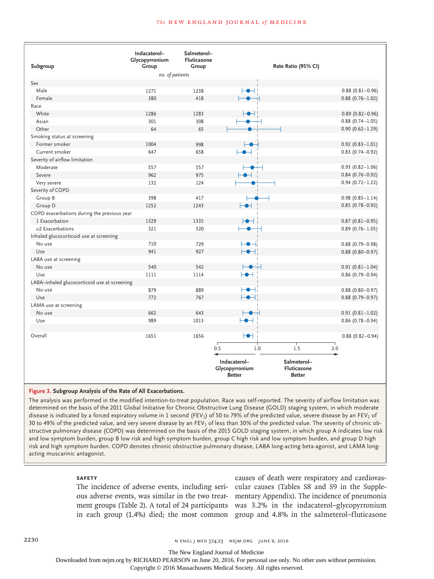#### **The NEW ENGLAND JOURNAL of MEDICINE**

|                                              | Indacaterol-<br>Glycopyrronium | Salmeterol-<br>Fluticasone |                                                                     |                                            |  |  |
|----------------------------------------------|--------------------------------|----------------------------|---------------------------------------------------------------------|--------------------------------------------|--|--|
| Subgroup                                     | Group                          | Group                      | Rate Ratio (95% CI)                                                 |                                            |  |  |
| no. of patients                              |                                |                            |                                                                     |                                            |  |  |
| Sex<br>Male                                  |                                |                            |                                                                     |                                            |  |  |
| Female                                       | 1271<br>380                    | 1238<br>418                | ⊢●⊣                                                                 | $0.88(0.81 - 0.96)$<br>$0.88(0.76 - 1.02)$ |  |  |
|                                              |                                |                            |                                                                     |                                            |  |  |
| Race<br>White                                |                                |                            |                                                                     |                                            |  |  |
| Asian                                        | 1286                           | 1283                       |                                                                     | $0.89(0.82 - 0.96)$                        |  |  |
|                                              | 301                            | 308                        |                                                                     | $0.88(0.74 - 1.05)$                        |  |  |
| Other                                        | 64                             | 65                         |                                                                     | $0.90(0.62 - 1.29)$                        |  |  |
| Smoking status at screening                  |                                |                            |                                                                     |                                            |  |  |
| Former smoker                                | 1004                           | 998                        | -0                                                                  | $0.92(0.83 - 1.01)$                        |  |  |
| Current smoker                               | 647                            | 658                        |                                                                     | $0.83$ (0.74-0.92)                         |  |  |
| Severity of airflow limitation               |                                |                            |                                                                     |                                            |  |  |
| Moderate                                     | 557                            | 557                        |                                                                     | $0.93(0.82 - 1.06)$                        |  |  |
| Severe                                       | 962                            | 975                        |                                                                     | $0.84(0.76 - 0.92)$                        |  |  |
| Very severe                                  | 132                            | 124                        |                                                                     | $0.94(0.72 - 1.22)$                        |  |  |
| Severity of COPD                             |                                |                            |                                                                     |                                            |  |  |
| Group B                                      | 398                            | 417                        |                                                                     | $0.98(0.85 - 1.14)$                        |  |  |
| Group D                                      | 1252                           | 1243                       | ⊢⊕⊣                                                                 | $0.85(0.78 - 0.92)$                        |  |  |
| COPD exacerbations during the previous year  |                                |                            |                                                                     |                                            |  |  |
| 1 Exacerbation                               | 1329                           | 1335                       |                                                                     | $0.87(0.81 - 0.95)$                        |  |  |
| $\geq$ 2 Exacerbations                       | 321                            | 320                        |                                                                     | $0.89(0.76 - 1.05)$                        |  |  |
| Inhaled glucocorticoid use at screening      |                                |                            |                                                                     |                                            |  |  |
| No use                                       | 710                            | 729                        |                                                                     | $0.88(0.79 - 0.98)$                        |  |  |
| Use                                          | 941                            | 927                        |                                                                     | $0.88$ (0.80-0.97)                         |  |  |
| LABA use at screening                        |                                |                            |                                                                     |                                            |  |  |
| No use                                       | 540                            | 542                        |                                                                     | $0.91(0.81 - 1.04)$                        |  |  |
| Use                                          | 1111                           | 1114                       | ┡●┥                                                                 | $0.86(0.79 - 0.94)$                        |  |  |
| LABA-inhaled glucocorticoid use at screening |                                |                            |                                                                     |                                            |  |  |
| No use                                       | 879                            | 889                        | ┡●⊣ा                                                                | $0.88$ (0.80-0.97)                         |  |  |
| Use                                          | 772                            | 767                        |                                                                     | $0.88(0.79 - 0.97)$                        |  |  |
| LAMA use at screening                        |                                |                            |                                                                     |                                            |  |  |
| No use                                       | 662                            | 643                        |                                                                     | $0.91(0.81 - 1.02)$                        |  |  |
| Use                                          | 989                            | 1013                       | ┡●┥                                                                 | $0.86(0.78 - 0.94)$                        |  |  |
|                                              |                                |                            |                                                                     |                                            |  |  |
| Overall                                      | 1651                           | 1656                       | HH i                                                                | $0.88(0.82 - 0.94)$                        |  |  |
|                                              |                                |                            | 0.5<br>1.5<br>1.0                                                   | 2.0                                        |  |  |
|                                              |                                |                            |                                                                     |                                            |  |  |
|                                              |                                |                            | Indacaterol-<br>Salmeterol-<br>Glycopyrronium<br><b>Fluticasone</b> |                                            |  |  |
|                                              |                                |                            | <b>Better</b><br><b>Better</b>                                      |                                            |  |  |

#### **Figure 3. Subgroup Analysis of the Rate of All Exacerbations.**

The analysis was performed in the modified intention-to-treat population. Race was self-reported. The severity of airflow limitation was determined on the basis of the 2011 Global Initiative for Chronic Obstructive Lung Disease (GOLD) staging system, in which moderate disease is indicated by a forced expiratory volume in 1 second (FEV<sub>1</sub>) of 50 to 79% of the predicted value, severe disease by an FEV<sub>1</sub> of 30 to 49% of the predicted value, and very severe disease by an FEV<sub>1</sub> of less than 30% of the predicted value. The severity of chronic obstructive pulmonary disease (COPD) was determined on the basis of the 2015 GOLD staging system, in which group A indicates low risk and low symptom burden, group B low risk and high symptom burden, group C high risk and low symptom burden, and group D high risk and high symptom burden. COPD denotes chronic obstructive pulmonary disease, LABA long-acting beta-agonist, and LAMA longacting muscarinic antagonist.

#### **Safety**

The incidence of adverse events, including seri-

ous adverse events, was similar in the two treat-mentary Appendix). The incidence of pneumonia ment groups (Table 2). A total of 24 participants was 3.2% in the indacaterol–glycopyrronium in each group (1.4%) died; the most common group and 4.8% in the salmeterol–fluticasone causes of death were respiratory and cardiovascular causes (Tables S8 and S9 in the Supple-

2230 **n ENGL J MED 374;23** NEJM.ORG JUNE 9, 2016

The New England Journal of Medicine

Downloaded from nejm.org by RICHARD PEARSON on June 20, 2016. For personal use only. No other uses without permission.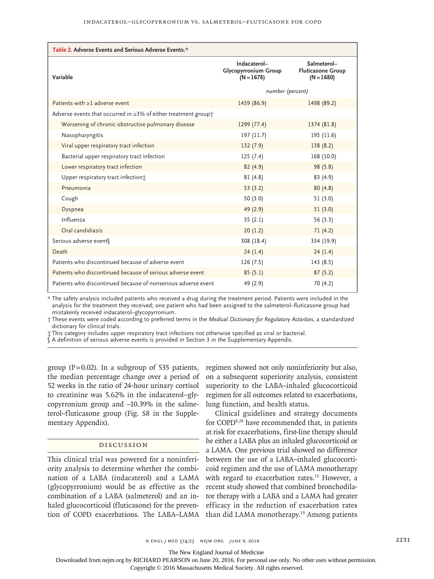| Table 2. Adverse Events and Serious Adverse Events.*                 |                                                             |                                                         |  |  |  |
|----------------------------------------------------------------------|-------------------------------------------------------------|---------------------------------------------------------|--|--|--|
| Variable                                                             | Indacaterol-<br><b>Glycopyrronium Group</b><br>$(N = 1678)$ | Salmeterol-<br><b>Fluticasone Group</b><br>$(N = 1680)$ |  |  |  |
|                                                                      | number (percent)                                            |                                                         |  |  |  |
| Patients with $\geq$ 1 adverse event                                 | 1459 (86.9)                                                 | 1498 (89.2)                                             |  |  |  |
| Adverse events that occurred in $\geq$ 3% of either treatment group† |                                                             |                                                         |  |  |  |
| Worsening of chronic obstructive pulmonary disease                   | 1299 (77.4)                                                 | 1374 (81.8)                                             |  |  |  |
| Nasopharyngitis                                                      | 197 (11.7)                                                  | 195 (11.6)                                              |  |  |  |
| Viral upper respiratory tract infection                              | 132(7.9)                                                    | 138(8.2)                                                |  |  |  |
| Bacterial upper respiratory tract infection                          | 125(7.4)                                                    | 168 (10.0)                                              |  |  |  |
| Lower respiratory tract infection                                    | 82(4.9)                                                     | 98(5.8)                                                 |  |  |  |
| Upper respiratory tract infection:                                   | 81(4.8)                                                     | 83(4.9)                                                 |  |  |  |
| Pneumonia                                                            | 53(3.2)                                                     | 80(4.8)                                                 |  |  |  |
| Cough                                                                | 50(3.0)                                                     | 51(3.0)                                                 |  |  |  |
| Dyspnea                                                              | 49 (2.9)                                                    | 51(3.0)                                                 |  |  |  |
| Influenza                                                            | 35(2.1)                                                     | 56(3.3)                                                 |  |  |  |
| Oral candidiasis                                                     | 20(1.2)                                                     | 71(4.2)                                                 |  |  |  |
| Serious adverse event                                                | 308 (18.4)                                                  | 334 (19.9)                                              |  |  |  |
| Death                                                                | 24(1.4)                                                     | 24(1.4)                                                 |  |  |  |
| Patients who discontinued because of adverse event                   | 126 (7.5)                                                   | 143 (8.5)                                               |  |  |  |
| Patients who discontinued because of serious adverse event           | 85(5.1)                                                     | 87(5.2)                                                 |  |  |  |
| Patients who discontinued because of nonserious adverse event        | 49 (2.9)                                                    | 70 (4.2)                                                |  |  |  |

\* The safety analysis included patients who received a drug during the treatment period. Patients were included in the analysis for the treatment they received; one patient who had been assigned to the salmeterol–fluticasone group had mistakenly received indacaterol–glycopyrronium.

† These events were coded according to preferred terms in the *Medical Dictionary for Regulatory Activities*, a standardized dictionary for clinical trials.

‡ This category includes upper respiratory tract infections not otherwise specified as viral or bacterial.

§ A definition of serious adverse events is provided in Section 3 in the Supplementary Appendix.

group ( $P=0.02$ ). In a subgroup of 535 patients, the median percentage change over a period of 52 weeks in the ratio of 24-hour urinary cortisol to creatinine was 5.62% in the indacaterol–glycopyrronium group and –10.39% in the salmeterol–fluticasone group (Fig. S8 in the Supplementary Appendix).

## Discussion

This clinical trial was powered for a noninferiority analysis to determine whether the combination of a LABA (indacaterol) and a LAMA (glycopyrronium) would be as effective as the combination of a LABA (salmeterol) and an inhaled glucocorticoid (fluticasone) for the prevention of COPD exacerbations. The LABA–LAMA regimen showed not only noninferiority but also, on a subsequent superiority analysis, consistent superiority to the LABA–inhaled glucocorticoid regimen for all outcomes related to exacerbations, lung function, and health status.

Clinical guidelines and strategy documents for COPD8,28 have recommended that, in patients at risk for exacerbations, first-line therapy should be either a LABA plus an inhaled glucocorticoid or a LAMA. One previous trial showed no difference between the use of a LABA–inhaled glucocorticoid regimen and the use of LAMA monotherapy with regard to exacerbation rates.<sup>15</sup> However, a recent study showed that combined bronchodilator therapy with a LABA and a LAMA had greater efficacy in the reduction of exacerbation rates than did LAMA monotherapy.19 Among patients

The New England Journal of Medicine

Downloaded from nejm.org by RICHARD PEARSON on June 20, 2016. For personal use only. No other uses without permission.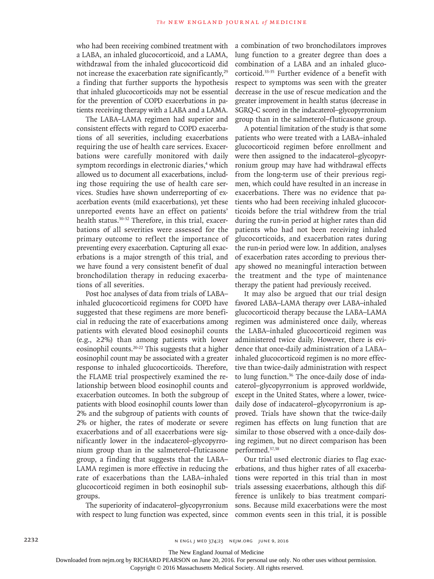who had been receiving combined treatment with a LABA, an inhaled glucocorticoid, and a LAMA, withdrawal from the inhaled glucocorticoid did not increase the exacerbation rate significantly,<sup>29</sup> a finding that further supports the hypothesis that inhaled glucocorticoids may not be essential for the prevention of COPD exacerbations in patients receiving therapy with a LABA and a LAMA.

The LABA–LAMA regimen had superior and consistent effects with regard to COPD exacerbations of all severities, including exacerbations requiring the use of health care services. Exacerbations were carefully monitored with daily symptom recordings in electronic diaries,<sup>4</sup> which allowed us to document all exacerbations, including those requiring the use of health care services. Studies have shown underreporting of exacerbation events (mild exacerbations), yet these unreported events have an effect on patients' health status.30-32 Therefore, in this trial, exacerbations of all severities were assessed for the primary outcome to reflect the importance of preventing every exacerbation. Capturing all exacerbations is a major strength of this trial, and we have found a very consistent benefit of dual bronchodilation therapy in reducing exacerbations of all severities.

Post hoc analyses of data from trials of LABA– inhaled glucocorticoid regimens for COPD have suggested that these regimens are more beneficial in reducing the rate of exacerbations among patients with elevated blood eosinophil counts (e.g., ≥2%) than among patients with lower eosinophil counts.20-22 This suggests that a higher eosinophil count may be associated with a greater response to inhaled glucocorticoids. Therefore, the FLAME trial prospectively examined the relationship between blood eosinophil counts and exacerbation outcomes. In both the subgroup of patients with blood eosinophil counts lower than 2% and the subgroup of patients with counts of 2% or higher, the rates of moderate or severe exacerbations and of all exacerbations were significantly lower in the indacaterol–glycopyrronium group than in the salmeterol–fluticasone group, a finding that suggests that the LABA– LAMA regimen is more effective in reducing the rate of exacerbations than the LABA–inhaled glucocorticoid regimen in both eosinophil subgroups.

The superiority of indacaterol–glycopyrronium with respect to lung function was expected, since a combination of two bronchodilators improves lung function to a greater degree than does a combination of a LABA and an inhaled glucocorticoid.33-35 Further evidence of a benefit with respect to symptoms was seen with the greater decrease in the use of rescue medication and the greater improvement in health status (decrease in SGRQ-C score) in the indacaterol–glycopyrronium group than in the salmeterol–fluticasone group.

A potential limitation of the study is that some patients who were treated with a LABA–inhaled glucocorticoid regimen before enrollment and were then assigned to the indacaterol–glycopyrronium group may have had withdrawal effects from the long-term use of their previous regimen, which could have resulted in an increase in exacerbations. There was no evidence that patients who had been receiving inhaled glucocorticoids before the trial withdrew from the trial during the run-in period at higher rates than did patients who had not been receiving inhaled glucocorticoids, and exacerbation rates during the run-in period were low. In addition, analyses of exacerbation rates according to previous therapy showed no meaningful interaction between the treatment and the type of maintenance therapy the patient had previously received.

It may also be argued that our trial design favored LABA–LAMA therapy over LABA–inhaled glucocorticoid therapy because the LABA–LAMA regimen was administered once daily, whereas the LABA–inhaled glucocorticoid regimen was administered twice daily. However, there is evidence that once-daily administration of a LABA– inhaled glucocorticoid regimen is no more effective than twice-daily administration with respect to lung function.36 The once-daily dose of indacaterol–glycopyrronium is approved worldwide, except in the United States, where a lower, twicedaily dose of indacaterol–glycopyrronium is approved. Trials have shown that the twice-daily regimen has effects on lung function that are similar to those observed with a once-daily dosing regimen, but no direct comparison has been performed.37,38

Our trial used electronic diaries to flag exacerbations, and thus higher rates of all exacerbations were reported in this trial than in most trials assessing exacerbations, although this difference is unlikely to bias treatment comparisons. Because mild exacerbations were the most common events seen in this trial, it is possible

The New England Journal of Medicine

Downloaded from nejm.org by RICHARD PEARSON on June 20, 2016. For personal use only. No other uses without permission.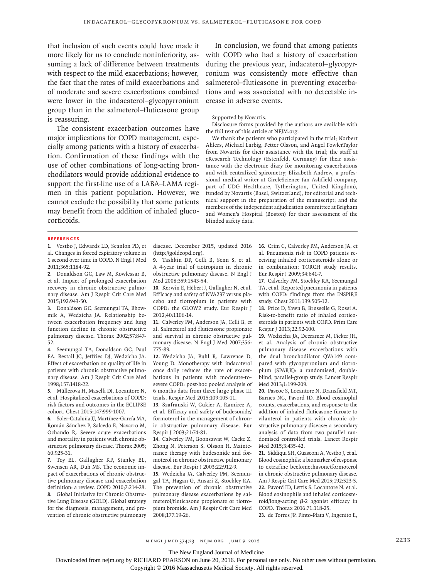that inclusion of such events could have made it more likely for us to conclude noninferiority, assuming a lack of difference between treatments with respect to the mild exacerbations; however, the fact that the rates of mild exacerbations and of moderate and severe exacerbations combined were lower in the indacaterol–glycopyrronium group than in the salmeterol–fluticasone group is reassuring.

The consistent exacerbation outcomes have major implications for COPD management, especially among patients with a history of exacerbation. Confirmation of these findings with the use of other combinations of long-acting bronchodilators would provide additional evidence to support the first-line use of a LABA–LAMA regimen in this patient population. However, we cannot exclude the possibility that some patients may benefit from the addition of inhaled glucocorticoids.

In conclusion, we found that among patients with COPD who had a history of exacerbation during the previous year, indacaterol–glycopyrronium was consistently more effective than salmeterol–fluticasone in preventing exacerbations and was associated with no detectable increase in adverse events.

Supported by Novartis.

Disclosure forms provided by the authors are available with the full text of this article at NEJM.org.

We thank the patients who participated in the trial; Norbert Ahlers, Michael Larbig, Petter Olsson, and Angel FowlerTaylor from Novartis for their assistance with the trial; the staff at eResearch Technology (Estenfeld, Germany) for their assistance with the electronic diary for monitoring exacerbations and with centralized spirometry; Elizabeth Andrew, a professional medical writer at CircleScience (an Ashfield company, part of UDG Healthcare, Tytherington, United Kingdom), funded by Novartis (Basel, Switzerland), for editorial and technical support in the preparation of the manuscript; and the members of the independent adjudication committee at Brigham and Women's Hospital (Boston) for their assessment of the blinded safety data.

#### **References**

**1.** Vestbo J, Edwards LD, Scanlon PD, et al. Changes in forced expiratory volume in 1 second over time in COPD. N Engl J Med 2011;365:1184-92.

**2.** Donaldson GC, Law M, Kowlessar B, et al. Impact of prolonged exacerbation recovery in chronic obstructive pulmonary disease. Am J Respir Crit Care Med 2015;192:943-50.

**3.** Donaldson GC, Seemungal TA, Bhowmik A, Wedzicha JA. Relationship between exacerbation frequency and lung function decline in chronic obstructive pulmonary disease. Thorax 2002;57:847- 52.

**4.** Seemungal TA, Donaldson GC, Paul EA, Bestall JC, Jeffries DJ, Wedzicha JA. Effect of exacerbation on quality of life in patients with chronic obstructive pulmonary disease. Am J Respir Crit Care Med 1998;157:1418-22.

**5.** Müllerova H, Maselli DJ, Locantore N, et al. Hospitalized exacerbations of COPD: risk factors and outcomes in the ECLIPSE cohort. Chest 2015;147:999-1007.

**6.** Soler-Cataluña JJ, Martínez-García MA, Román Sánchez P, Salcedo E, Navarro M, Ochando R. Severe acute exacerbations and mortality in patients with chronic obstructive pulmonary disease. Thorax 2005; 60:925-31.

**7.** Toy EL, Gallagher KF, Stanley EL, Swensen AR, Duh MS. The economic impact of exacerbations of chronic obstructive pulmonary disease and exacerbation definition: a review. COPD 2010;7:214-28. **8.** Global Initiative for Chronic Obstructive Lung Disease (GOLD). Global strategy for the diagnosis, management, and prevention of chronic obstructive pulmonary disease. December 2015, updated 2016 (http://goldcopd.org).

**9.** Tashkin DP, Celli B, Senn S, et al. A 4-year trial of tiotropium in chronic obstructive pulmonary disease. N Engl J Med 2008;359:1543-54.

**10.** Kerwin E, Hébert J, Gallagher N, et al. Efficacy and safety of NVA237 versus placebo and tiotropium in patients with COPD: the GLOW2 study. Eur Respir J 2012;40:1106-14.

**11.** Calverley PM, Anderson JA, Celli B, et al. Salmeterol and fluticasone propionate and survival in chronic obstructive pulmonary disease. N Engl J Med 2007;356: 775-89.

**12.** Wedzicha JA, Buhl R, Lawrence D, Young D. Monotherapy with indacaterol once daily reduces the rate of exacerbations in patients with moderate-tosevere COPD: post-hoc pooled analysis of 6 months data from three large phase III trials. Respir Med 2015;109:105-11.

**13.** Szafranski W, Cukier A, Ramirez A, et al. Efficacy and safety of budesonide/ formoterol in the management of chronic obstructive pulmonary disease. Eur Respir J 2003;21:74-81.

**14.** Calverley PM, Boonsawat W, Cseke Z, Zhong N, Peterson S, Olsson H. Maintenance therapy with budesonide and formoterol in chronic obstructive pulmonary disease. Eur Respir J 2003;22:912-9.

**15.** Wedzicha JA, Calverley PM, Seemungal TA, Hagan G, Ansari Z, Stockley RA. The prevention of chronic obstructive pulmonary disease exacerbations by salmeterol/fluticasone propionate or tiotropium bromide. Am J Respir Crit Care Med 2008;177:19-26.

**16.** Crim C, Calverley PM, Anderson JA, et al. Pneumonia risk in COPD patients receiving inhaled corticosteroids alone or in combination: TORCH study results. Eur Respir J 2009;34:641-7.

**17.** Calverley PM, Stockley RA, Seemungal TA, et al. Reported pneumonia in patients with COPD: findings from the INSPIRE study. Chest 2011;139:505-12.

**18.** Price D, Yawn B, Brusselle G, Rossi A. Risk-to-benefit ratio of inhaled corticosteroids in patients with COPD. Prim Care Respir J 2013;22:92-100.

**19.** Wedzicha JA, Decramer M, Ficker JH, et al. Analysis of chronic obstructive pulmonary disease exacerbations with the dual bronchodilator QVA149 compared with glycopyrronium and tiotropium (SPARK): a randomised, doubleblind, parallel-group study. Lancet Respir Med 2013;1:199-209.

**20.** Pascoe S, Locantore N, Dransfield MT, Barnes NC, Pavord ID. Blood eosinophil counts, exacerbations, and response to the addition of inhaled fluticasone furoate to vilanterol in patients with chronic obstructive pulmonary disease: a secondary analysis of data from two parallel randomised controlled trials. Lancet Respir Med 2015;3:435-42.

**21.** Siddiqui SH, Guasconi A, Vestbo J, et al. Blood eosinophils: a biomarker of response to extrafine beclomethasone/formoterol in chronic obstructive pulmonary disease. Am J Respir Crit Care Med 2015;192:523-5. **22.** Pavord ID, Lettis S, Locantore N, et al. Blood eosinophils and inhaled corticosteroid/long-acting β-2 agonist efficacy in COPD. Thorax 2016;71:118-25.

**23.** de Torres JP, Pinto-Plata V, Ingenito E,

The New England Journal of Medicine

Downloaded from nejm.org by RICHARD PEARSON on June 20, 2016. For personal use only. No other uses without permission.